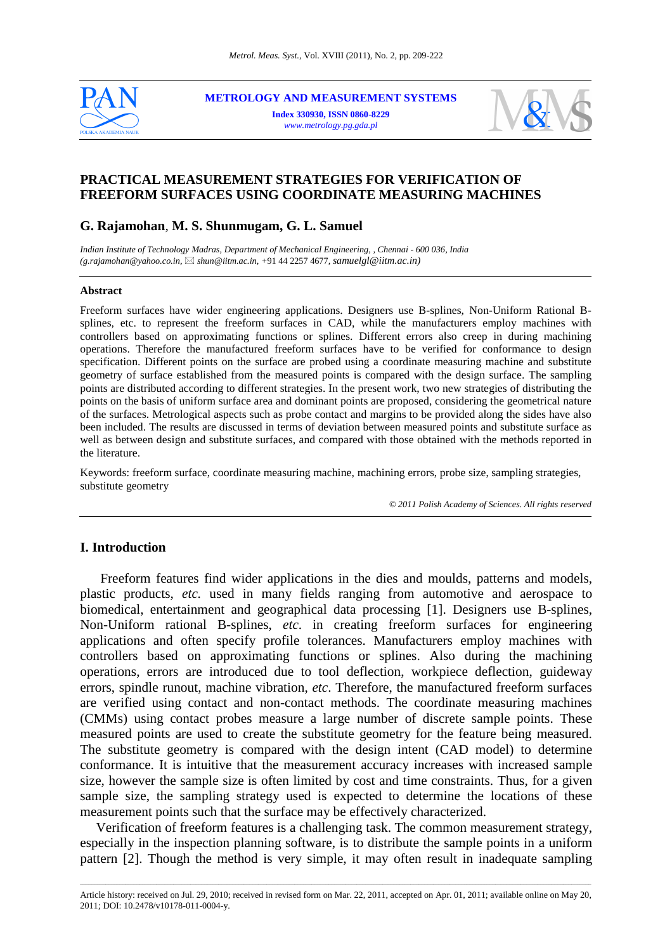

**METROLOGY AND MEASUREMENT SYSTEMS Index 330930, ISSN 0860-8229**  *www.metrology.pg.gda.pl*



# **PRACTICAL MEASUREMENT STRATEGIES FOR VERIFICATION OF FREEFORM SURFACES USING COORDINATE MEASURING MACHINES**

# **G. Rajamohan**, **M. S. Shunmugam, G. L. Samuel**

*Indian Institute of Technology Madras, Department of Mechanical Engineering, , Chennai - 600 036, India (g.rajamohan@yahoo.co.in, shun@iitm.ac.in, +*91 44 2257 4677*, samuelgl@iitm.ac.in)*

#### **Abstract**

Freeform surfaces have wider engineering applications. Designers use B-splines, Non-Uniform Rational Bsplines, etc. to represent the freeform surfaces in CAD, while the manufacturers employ machines with controllers based on approximating functions or splines. Different errors also creep in during machining operations. Therefore the manufactured freeform surfaces have to be verified for conformance to design specification. Different points on the surface are probed using a coordinate measuring machine and substitute geometry of surface established from the measured points is compared with the design surface. The sampling points are distributed according to different strategies. In the present work, two new strategies of distributing the points on the basis of uniform surface area and dominant points are proposed, considering the geometrical nature of the surfaces. Metrological aspects such as probe contact and margins to be provided along the sides have also been included. The results are discussed in terms of deviation between measured points and substitute surface as well as between design and substitute surfaces, and compared with those obtained with the methods reported in the literature.

Keywords: freeform surface, coordinate measuring machine, machining errors, probe size, sampling strategies, substitute geometry

*© 2011 Polish Academy of Sciences. All rights reserved*

# **I. Introduction**

 Freeform features find wider applications in the dies and moulds, patterns and models, plastic products, *etc.* used in many fields ranging from automotive and aerospace to biomedical, entertainment and geographical data processing [1]. Designers use B-splines, Non-Uniform rational B-splines, *etc*. in creating freeform surfaces for engineering applications and often specify profile tolerances. Manufacturers employ machines with controllers based on approximating functions or splines. Also during the machining operations, errors are introduced due to tool deflection, workpiece deflection, guideway errors, spindle runout, machine vibration, *etc*. Therefore, the manufactured freeform surfaces are verified using contact and non-contact methods. The coordinate measuring machines (CMMs) using contact probes measure a large number of discrete sample points. These measured points are used to create the substitute geometry for the feature being measured. The substitute geometry is compared with the design intent (CAD model) to determine conformance. It is intuitive that the measurement accuracy increases with increased sample size, however the sample size is often limited by cost and time constraints. Thus, for a given sample size, the sampling strategy used is expected to determine the locations of these measurement points such that the surface may be effectively characterized.

Verification of freeform features is a challenging task. The common measurement strategy, especially in the inspection planning software, is to distribute the sample points in a uniform pattern [2]. Though the method is very simple, it may often result in inadequate sampling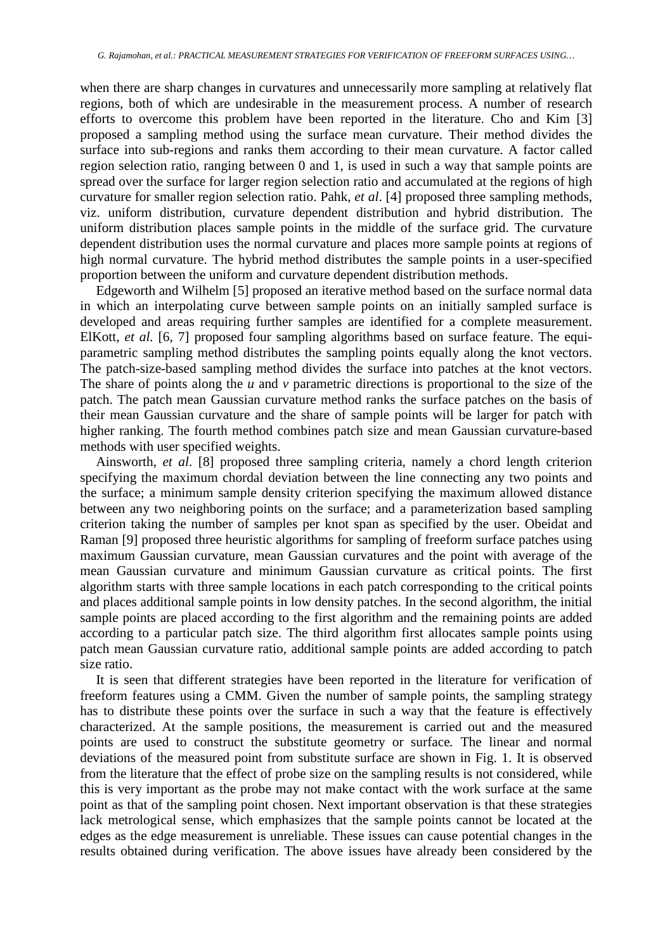when there are sharp changes in curvatures and unnecessarily more sampling at relatively flat regions, both of which are undesirable in the measurement process. A number of research efforts to overcome this problem have been reported in the literature. Cho and Kim [3] proposed a sampling method using the surface mean curvature. Their method divides the surface into sub-regions and ranks them according to their mean curvature. A factor called region selection ratio, ranging between 0 and 1, is used in such a way that sample points are spread over the surface for larger region selection ratio and accumulated at the regions of high curvature for smaller region selection ratio. Pahk, *et al*. [4] proposed three sampling methods, viz. uniform distribution, curvature dependent distribution and hybrid distribution. The uniform distribution places sample points in the middle of the surface grid. The curvature dependent distribution uses the normal curvature and places more sample points at regions of high normal curvature. The hybrid method distributes the sample points in a user-specified proportion between the uniform and curvature dependent distribution methods.

Edgeworth and Wilhelm [5] proposed an iterative method based on the surface normal data in which an interpolating curve between sample points on an initially sampled surface is developed and areas requiring further samples are identified for a complete measurement. ElKott, *et al.* [6, 7] proposed four sampling algorithms based on surface feature. The equiparametric sampling method distributes the sampling points equally along the knot vectors. The patch-size-based sampling method divides the surface into patches at the knot vectors. The share of points along the *u* and *v* parametric directions is proportional to the size of the patch. The patch mean Gaussian curvature method ranks the surface patches on the basis of their mean Gaussian curvature and the share of sample points will be larger for patch with higher ranking. The fourth method combines patch size and mean Gaussian curvature-based methods with user specified weights.

Ainsworth, *et al*. [8] proposed three sampling criteria, namely a chord length criterion specifying the maximum chordal deviation between the line connecting any two points and the surface; a minimum sample density criterion specifying the maximum allowed distance between any two neighboring points on the surface; and a parameterization based sampling criterion taking the number of samples per knot span as specified by the user. Obeidat and Raman [9] proposed three heuristic algorithms for sampling of freeform surface patches using maximum Gaussian curvature, mean Gaussian curvatures and the point with average of the mean Gaussian curvature and minimum Gaussian curvature as critical points. The first algorithm starts with three sample locations in each patch corresponding to the critical points and places additional sample points in low density patches. In the second algorithm, the initial sample points are placed according to the first algorithm and the remaining points are added according to a particular patch size. The third algorithm first allocates sample points using patch mean Gaussian curvature ratio, additional sample points are added according to patch size ratio.

It is seen that different strategies have been reported in the literature for verification of freeform features using a CMM. Given the number of sample points, the sampling strategy has to distribute these points over the surface in such a way that the feature is effectively characterized. At the sample positions, the measurement is carried out and the measured points are used to construct the substitute geometry or surface*.* The linear and normal deviations of the measured point from substitute surface are shown in Fig. 1. It is observed from the literature that the effect of probe size on the sampling results is not considered, while this is very important as the probe may not make contact with the work surface at the same point as that of the sampling point chosen. Next important observation is that these strategies lack metrological sense, which emphasizes that the sample points cannot be located at the edges as the edge measurement is unreliable. These issues can cause potential changes in the results obtained during verification. The above issues have already been considered by the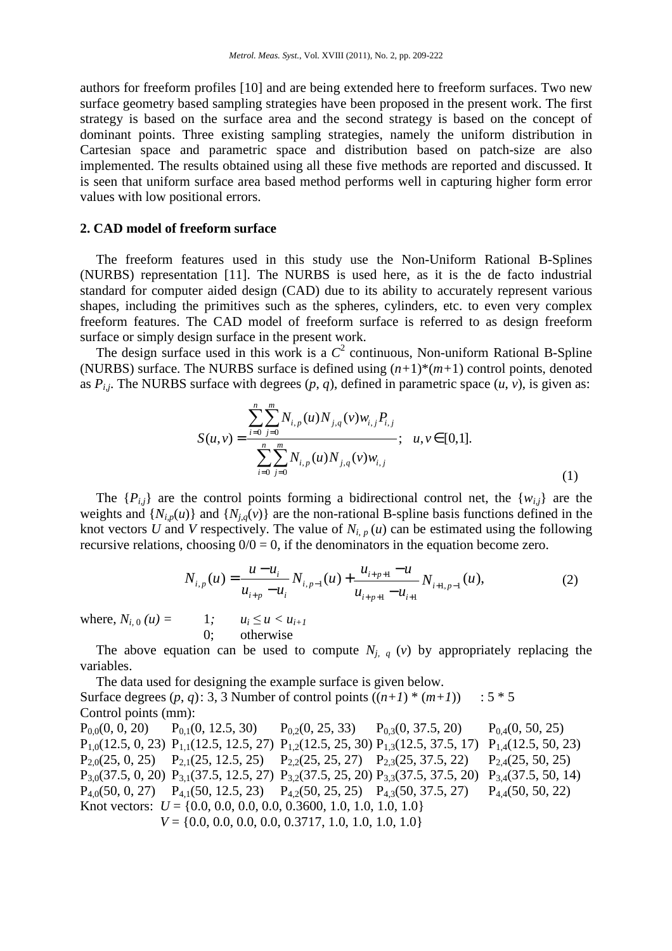authors for freeform profiles [10] and are being extended here to freeform surfaces. Two new surface geometry based sampling strategies have been proposed in the present work. The first strategy is based on the surface area and the second strategy is based on the concept of dominant points. Three existing sampling strategies, namely the uniform distribution in Cartesian space and parametric space and distribution based on patch-size are also implemented. The results obtained using all these five methods are reported and discussed. It is seen that uniform surface area based method performs well in capturing higher form error values with low positional errors.

# **2. CAD model of freeform surface**

The freeform features used in this study use the Non-Uniform Rational B-Splines (NURBS) representation [11]. The NURBS is used here, as it is the de facto industrial standard for computer aided design (CAD) due to its ability to accurately represent various shapes, including the primitives such as the spheres, cylinders, etc. to even very complex freeform features. The CAD model of freeform surface is referred to as design freeform surface or simply design surface in the present work.

The design surface used in this work is a  $C^2$  continuous, Non-uniform Rational B-Spline (NURBS) surface. The NURBS surface is defined using  $(n+1)*(m+1)$  control points, denoted as  $P_{i,j}$ . The NURBS surface with degrees  $(p, q)$ , defined in parametric space  $(u, v)$ , is given as:

$$
S(u,v) = \frac{\sum_{i=0}^{n} \sum_{j=0}^{m} N_{i,p}(u) N_{j,q}(v) w_{i,j} P_{i,j}}{\sum_{i=0}^{n} \sum_{j=0}^{m} N_{i,p}(u) N_{j,q}(v) w_{i,j}}; \quad u, v \in [0,1].
$$
\n(1)

The  $\{P_{i,j}\}\$ are the control points forming a bidirectional control net, the  $\{w_{i,j}\}\$ are the weights and  $\{N_{i,p}(u)\}\$  and  $\{N_{i,q}(v)\}\$  are the non-rational B-spline basis functions defined in the knot vectors *U* and *V* respectively. The value of  $N_{i,p}(u)$  can be estimated using the following recursive relations, choosing  $0/0 = 0$ , if the denominators in the equation become zero.

$$
N_{i,p}(u) = \frac{u - u_i}{u_{i+p} - u_i} N_{i,p-1}(u) + \frac{u_{i+p+1} - u}{u_{i+p+1} - u_{i+1}} N_{i+1,p-1}(u),
$$
\n(2)

where,  $N_{i, 0}(u) = 1; \t u_i \le u \le u_{i+1}$ 0; otherwise

The above equation can be used to compute  $N_{i,q}$  (*v*) by appropriately replacing the variables.

The data used for designing the example surface is given below. Surface degrees  $(p, q)$ : 3, 3 Number of control points  $((n+1) * (m+1))$  : 5  $*$  5 Control points (mm):  $P_{0,0}(0, 0, 20)$   $P_{0,1}(0, 12.5, 30)$   $P_{0,2}(0, 25, 33)$   $P_{0,3}(0, 37.5, 20)$   $P_{0,4}(0, 50, 25)$  $P_{1,0}(12.5, 0, 23)$   $P_{1,1}(12.5, 12.5, 27)$   $P_{1,2}(12.5, 25, 30)$   $P_{1,3}(12.5, 37.5, 17)$   $P_{1,4}(12.5, 50, 23)$  $P_{2,0}(25, 0, 25)$   $P_{2,1}(25, 12.5, 25)$   $P_{2,2}(25, 25, 27)$   $P_{2,3}(25, 37.5, 22)$   $P_{2,4}(25, 50, 25)$  $P_{3,0}(37.5, 0, 20)$   $P_{3,1}(37.5, 12.5, 27)$   $P_{3,2}(37.5, 25, 20)$   $P_{3,3}(37.5, 37.5, 20)$   $P_{3,4}(37.5, 50, 14)$  $P_{4,0}(50, 0, 27)$   $P_{4,1}(50, 12.5, 23)$   $P_{4,2}(50, 25, 25)$   $P_{4,3}(50, 37.5, 27)$   $P_{4,4}(50, 50, 22)$ 

Knot vectors: *U* = {0.0, 0.0, 0.0, 0.0, 0.3600, 1.0, 1.0, 1.0, 1.0}

*V* = {0.0, 0.0, 0.0, 0.0, 0.3717, 1.0, 1.0, 1.0, 1.0}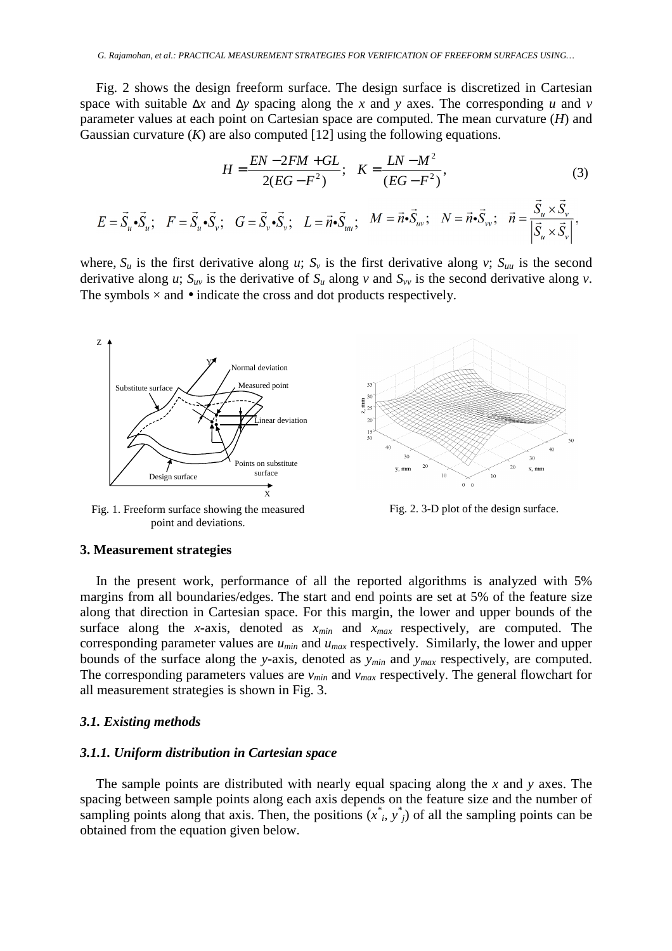Fig. 2 shows the design freeform surface. The design surface is discretized in Cartesian space with suitable ∆*x* and ∆*y* spacing along the *x* and *y* axes. The corresponding *u* and *v* parameter values at each point on Cartesian space are computed. The mean curvature (*H*) and Gaussian curvature  $(K)$  are also computed  $[12]$  using the following equations.

$$
H = \frac{EN - 2FM + GL}{2(EG - F^2)}; \quad K = \frac{LN - M^2}{(EG - F^2)},
$$
(3)  

$$
E = \vec{S}_u \cdot \vec{S}_u; \quad F = \vec{S}_u \cdot \vec{S}_v; \quad G = \vec{S}_v \cdot \vec{S}_v; \quad L = \vec{n} \cdot \vec{S}_{uu}; \quad M = \vec{n} \cdot \vec{S}_{uv}; \quad N = \vec{n} \cdot \vec{S}_{vv}; \quad \vec{n} = \frac{\vec{S}_u \times \vec{S}_v}{|\vec{S}_u \times \vec{S}_v|},
$$

where,  $S_u$  is the first derivative along *u*;  $S_v$  is the first derivative along *v*;  $S_{uu}$  is the second derivative along *u*;  $S_{uv}$  is the derivative of  $S_u$  along *v* and  $S_{vv}$  is the second derivative along *v*. The symbols  $\times$  and  $\bullet$  indicate the cross and dot products respectively.



Fig. 1. Freeform surface showing the measured point and deviations.



Fig. 2. 3-D plot of the design surface.

#### **3. Measurement strategies**

In the present work, performance of all the reported algorithms is analyzed with 5% margins from all boundaries/edges. The start and end points are set at 5% of the feature size along that direction in Cartesian space. For this margin, the lower and upper bounds of the surface along the *x*-axis, denoted as *xmin* and *xmax* respectively, are computed. The corresponding parameter values are *umin* and *umax* respectively. Similarly, the lower and upper bounds of the surface along the *y*-axis, denoted as *ymin* and *ymax* respectively, are computed. The corresponding parameters values are *vmin* and *vmax* respectively. The general flowchart for all measurement strategies is shown in Fig. 3.

#### *3.1. Existing methods*

#### *3.1.1. Uniform distribution in Cartesian space*

The sample points are distributed with nearly equal spacing along the *x* and *y* axes. The spacing between sample points along each axis depends on the feature size and the number of sampling points along that axis. Then, the positions  $(x^*, y^*)$  of all the sampling points can be obtained from the equation given below.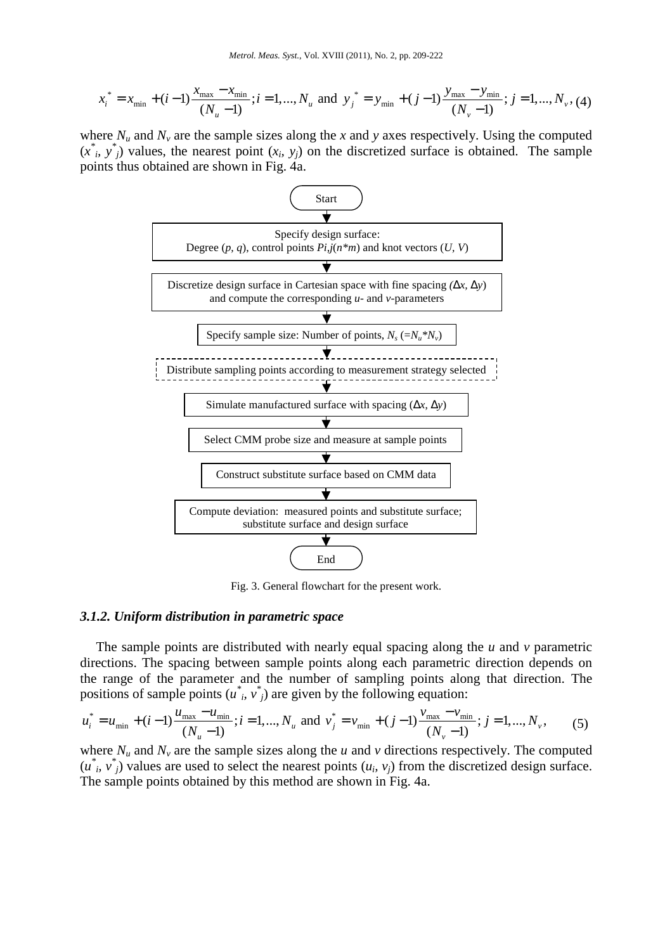$$
x_i^* = x_{\min} + (i-1)\frac{x_{\max} - x_{\min}}{(N_u - 1)}; i = 1, ..., N_u \text{ and } y_j^* = y_{\min} + (j-1)\frac{y_{\max} - y_{\min}}{(N_v - 1)}; j = 1, ..., N_v, (4)
$$

where  $N_u$  and  $N_v$  are the sample sizes along the *x* and *y* axes respectively. Using the computed  $(x^*$ <sup>*i*</sup>,  $y^*$ <sub>*j*</sub>) values, the nearest point  $(x_i, y_j)$  on the discretized surface is obtained. The sample points thus obtained are shown in Fig. 4a.



Fig. 3. General flowchart for the present work.

## *3.1.2. Uniform distribution in parametric space*

The sample points are distributed with nearly equal spacing along the *u* and *v* parametric directions. The spacing between sample points along each parametric direction depends on the range of the parameter and the number of sampling points along that direction. The positions of sample points  $(u^*, v^*)$  are given by the following equation:

$$
u_i^* = u_{\min} + (i-1)\frac{u_{\max} - u_{\min}}{(N_u - 1)}; i = 1, ..., N_u \text{ and } v_j^* = v_{\min} + (j-1)\frac{v_{\max} - v_{\min}}{(N_v - 1)}; j = 1, ..., N_v,
$$
 (5)

where  $N_u$  and  $N_v$  are the sample sizes along the *u* and *v* directions respectively. The computed  $(u^*, v^*)$  values are used to select the nearest points  $(u_i, v_j)$  from the discretized design surface. The sample points obtained by this method are shown in Fig. 4a.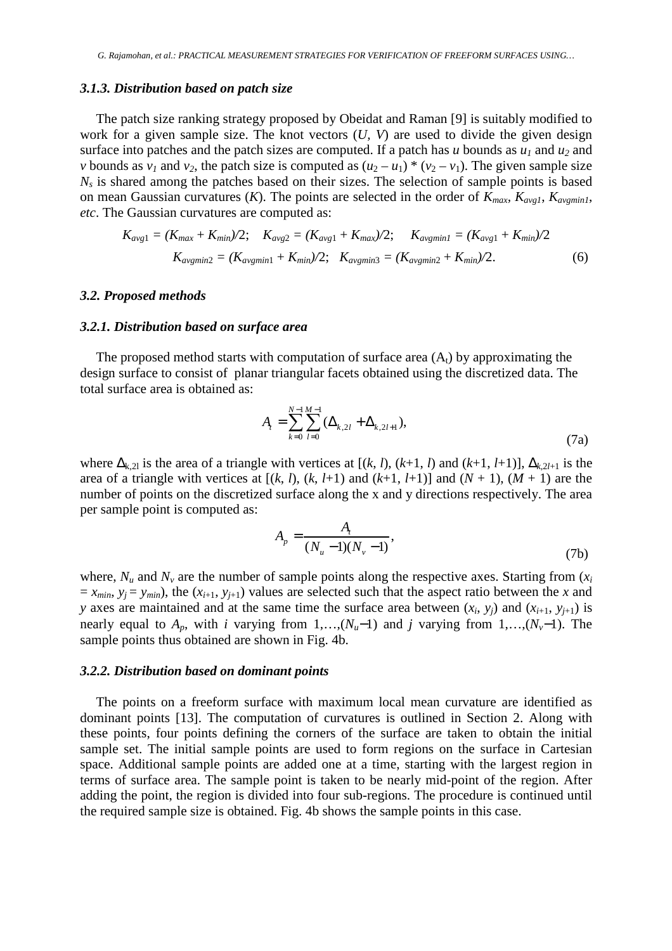#### *3.1.3. Distribution based on patch size*

The patch size ranking strategy proposed by Obeidat and Raman [9] is suitably modified to work for a given sample size. The knot vectors (*U, V*) are used to divide the given design surface into patches and the patch sizes are computed. If a patch has *u* bounds as  $u_1$  and  $u_2$  and *v* bounds as  $v_1$  and  $v_2$ , the patch size is computed as  $(u_2 - u_1) * (v_2 - v_1)$ . The given sample size  $N<sub>s</sub>$  is shared among the patches based on their sizes. The selection of sample points is based on mean Gaussian curvatures (*K*). The points are selected in the order of  $K_{max}$ ,  $K_{avg1}$ ,  $K_{avgmin1}$ , *etc*. The Gaussian curvatures are computed as:

$$
K_{avg1} = (K_{max} + K_{min})/2; \quad K_{avg2} = (K_{avg1} + K_{max})/2; \quad K_{avgmin1} = (K_{avg1} + K_{min})/2
$$
  

$$
K_{avgmin2} = (K_{avgmin1} + K_{min})/2; \quad K_{avgmin3} = (K_{avgmin2} + K_{min})/2.
$$
 (6)

#### *3.2. Proposed methods*

# *3.2.1. Distribution based on surface area*

The proposed method starts with computation of surface area  $(A_t)$  by approximating the design surface to consist of planar triangular facets obtained using the discretized data. The total surface area is obtained as:

$$
A_{t} = \sum_{k=0}^{N-1} \sum_{l=0}^{M-1} (\Delta_{k,2l} + \Delta_{k,2l+1}),
$$
\n(7a)

where  $\Delta_{k,2l}$  is the area of a triangle with vertices at  $[(k, l), (k+1, l)$  and  $(k+1, l+1)]$ ,  $\Delta_{k,2l+1}$  is the area of a triangle with vertices at  $[(k, l), (k, l+1)$  and  $(k+1, l+1)]$  and  $(N + 1), (M + 1)$  are the number of points on the discretized surface along the x and y directions respectively. The area per sample point is computed as:

$$
A_p = \frac{A_t}{(N_u - 1)(N_v - 1)},
$$
\n(7b)

where,  $N_u$  and  $N_v$  are the number of sample points along the respective axes. Starting from  $(x_i)$  $x = x_{min}$ ,  $y_i = y_{min}$ , the  $(x_{i+1}, y_{i+1})$  values are selected such that the aspect ratio between the *x* and *y* axes are maintained and at the same time the surface area between  $(x_i, y_j)$  and  $(x_{i+1}, y_{j+1})$  is nearly equal to  $A_p$ , with *i* varying from 1,…, $(N_u-1)$  and *j* varying from 1,…, $(N_v-1)$ . The sample points thus obtained are shown in Fig. 4b.

#### *3.2.2. Distribution based on dominant points*

The points on a freeform surface with maximum local mean curvature are identified as dominant points [13]. The computation of curvatures is outlined in Section 2. Along with these points, four points defining the corners of the surface are taken to obtain the initial sample set. The initial sample points are used to form regions on the surface in Cartesian space. Additional sample points are added one at a time, starting with the largest region in terms of surface area. The sample point is taken to be nearly mid-point of the region. After adding the point, the region is divided into four sub-regions. The procedure is continued until the required sample size is obtained. Fig. 4b shows the sample points in this case.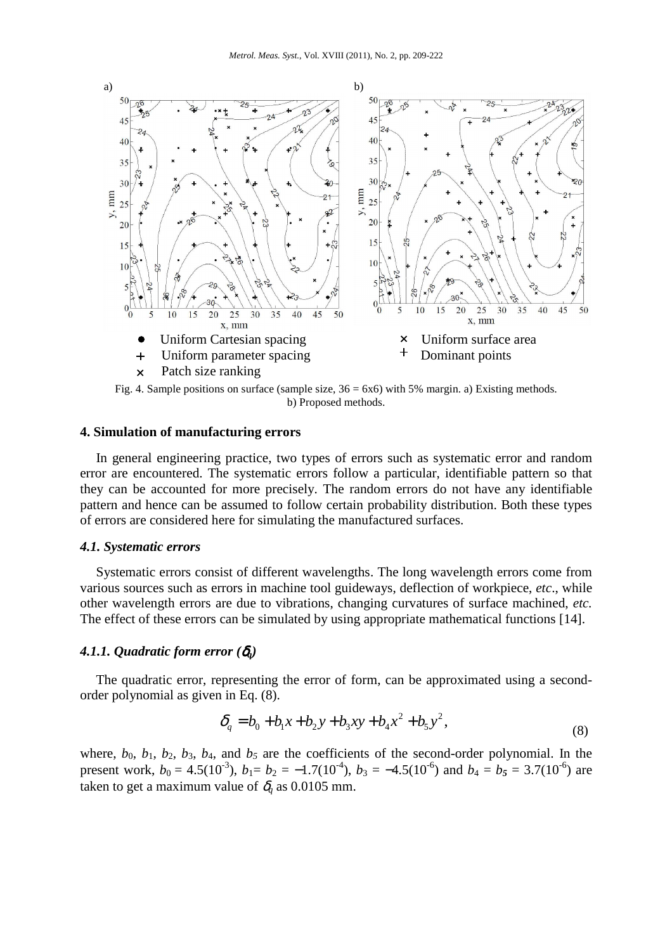

Fig. 4. Sample positions on surface (sample size,  $36 = 6x6$ ) with 5% margin. a) Existing methods. b) Proposed methods.

# **4. Simulation of manufacturing errors**

In general engineering practice, two types of errors such as systematic error and random error are encountered. The systematic errors follow a particular, identifiable pattern so that they can be accounted for more precisely. The random errors do not have any identifiable pattern and hence can be assumed to follow certain probability distribution. Both these types of errors are considered here for simulating the manufactured surfaces.

#### *4.1. Systematic errors*

Systematic errors consist of different wavelengths. The long wavelength errors come from various sources such as errors in machine tool guideways, deflection of workpiece, *etc*., while other wavelength errors are due to vibrations, changing curvatures of surface machined, *etc.* The effect of these errors can be simulated by using appropriate mathematical functions [14].

# *4.1.1. Quadratic form error (*δ*q)*

The quadratic error, representing the error of form, can be approximated using a secondorder polynomial as given in Eq. (8).

$$
\delta_q = b_0 + b_1 x + b_2 y + b_3 xy + b_4 x^2 + b_5 y^2,
$$
\n(8)

where,  $b_0$ ,  $b_1$ ,  $b_2$ ,  $b_3$ ,  $b_4$ , and  $b_5$  are the coefficients of the second-order polynomial. In the present work,  $b_0 = 4.5(10^{-3})$ ,  $b_1 = b_2 = -1.7(10^{-4})$ ,  $b_3 = -4.5(10^{-6})$  and  $b_4 = b_5 = 3.7(10^{-6})$  are taken to get a maximum value of  $\delta_q$  as 0.0105 mm.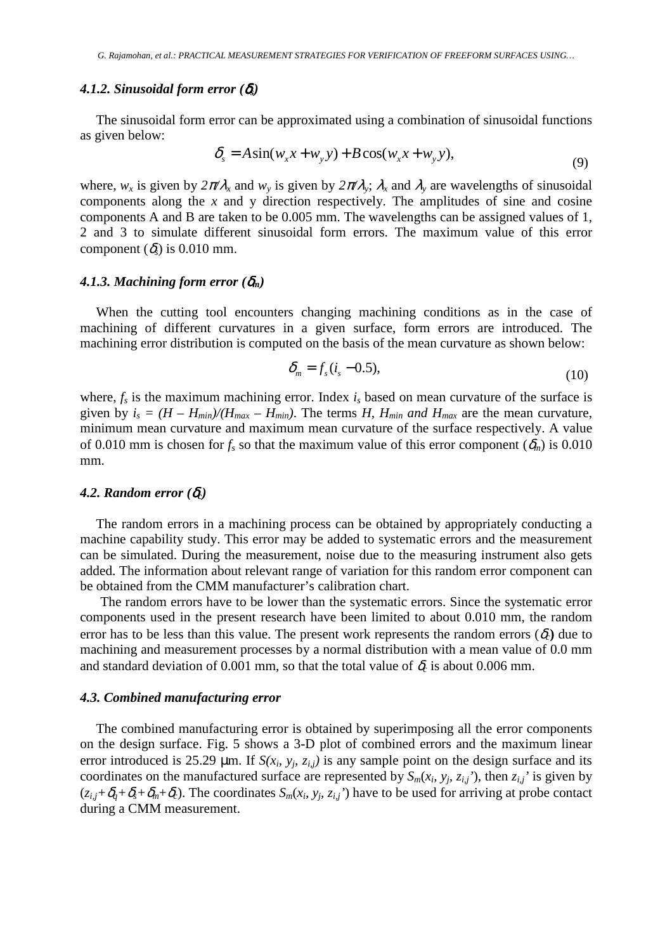#### *4.1.2. Sinusoidal form error (*δ*s)*

The sinusoidal form error can be approximated using a combination of sinusoidal functions as given below:

$$
\delta_s = A \sin(w_x x + w_y y) + B \cos(w_x x + w_y y), \tag{9}
$$

where,  $w_x$  is given by  $2\pi/\lambda_x$  and  $w_y$  is given by  $2\pi/\lambda_y$ ;  $\lambda_x$  and  $\lambda_y$  are wavelengths of sinusoidal components along the *x* and y direction respectively. The amplitudes of sine and cosine components A and B are taken to be 0.005 mm. The wavelengths can be assigned values of 1, 2 and 3 to simulate different sinusoidal form errors. The maximum value of this error component  $(\delta_{s})$  is 0.010 mm.

#### 4.1.3. Machining form error  $(\delta_m)$

When the cutting tool encounters changing machining conditions as in the case of machining of different curvatures in a given surface, form errors are introduced. The machining error distribution is computed on the basis of the mean curvature as shown below:

$$
\delta_m = f_s(i_s - 0.5),\tag{10}
$$

where,  $f_s$  is the maximum machining error. Index  $i_s$  based on mean curvature of the surface is given by  $i_s = (H - H_{min})/(H_{max} - H_{min})$ . The terms *H, H<sub>min</sub> and H<sub>max</sub>* are the mean curvature, minimum mean curvature and maximum mean curvature of the surface respectively. A value of 0.010 mm is chosen for  $f_s$  so that the maximum value of this error component ( $\delta_m$ ) is 0.010 mm.

# *4.2. Random error (*δ*c)*

The random errors in a machining process can be obtained by appropriately conducting a machine capability study. This error may be added to systematic errors and the measurement can be simulated. During the measurement, noise due to the measuring instrument also gets added. The information about relevant range of variation for this random error component can be obtained from the CMM manufacturer's calibration chart.

The random errors have to be lower than the systematic errors. Since the systematic error components used in the present research have been limited to about 0.010 mm, the random error has to be less than this value. The present work represents the random errors  $(\delta_c)$  due to machining and measurement processes by a normal distribution with a mean value of 0.0 mm and standard deviation of 0.001 mm, so that the total value of  $\delta_c$  is about 0.006 mm.

#### *4.3. Combined manufacturing error*

The combined manufacturing error is obtained by superimposing all the error components on the design surface. Fig. 5 shows a 3-D plot of combined errors and the maximum linear error introduced is 25.29  $\mu$ m. If  $S(x_i, y_j, z_{i,j})$  is any sample point on the design surface and its coordinates on the manufactured surface are represented by  $S_m(x_i, y_j, z_{i,j})$ , then  $z_{i,j}$  is given by  $(z_{i,j}+\delta_q+\delta_s+\delta_m+\delta_c)$ . The coordinates  $S_m(x_i, y_j, z_{i,j})$  have to be used for arriving at probe contact during a CMM measurement.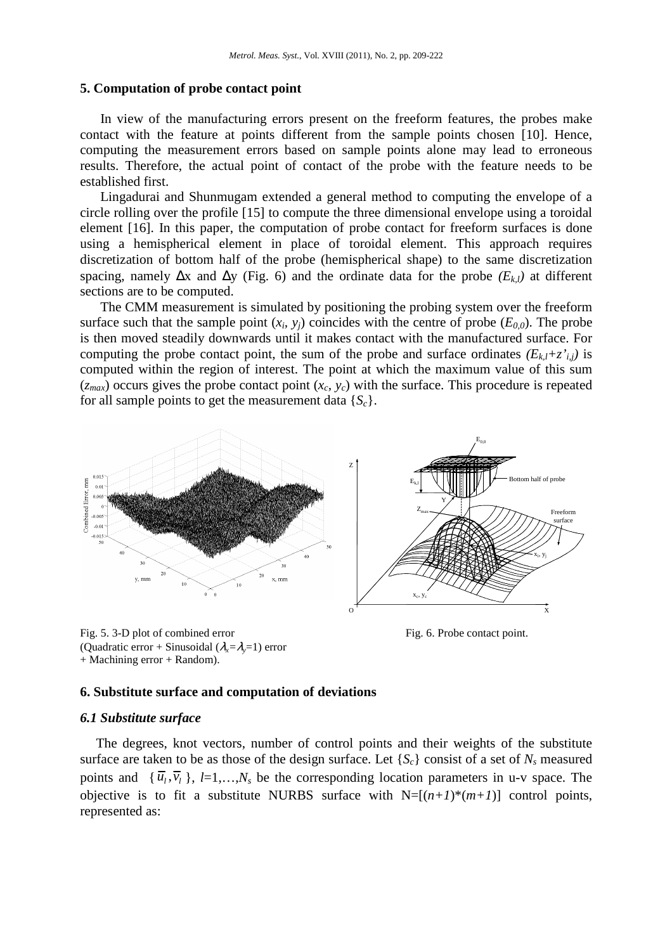#### **5. Computation of probe contact point**

In view of the manufacturing errors present on the freeform features, the probes make contact with the feature at points different from the sample points chosen [10]. Hence, computing the measurement errors based on sample points alone may lead to erroneous results. Therefore, the actual point of contact of the probe with the feature needs to be established first.

Lingadurai and Shunmugam extended a general method to computing the envelope of a circle rolling over the profile [15] to compute the three dimensional envelope using a toroidal element [16]. In this paper, the computation of probe contact for freeform surfaces is done using a hemispherical element in place of toroidal element. This approach requires discretization of bottom half of the probe (hemispherical shape) to the same discretization spacing, namely  $\Delta x$  and  $\Delta y$  (Fig. 6) and the ordinate data for the probe  $(E_{k,l})$  at different sections are to be computed.

The CMM measurement is simulated by positioning the probing system over the freeform surface such that the sample point  $(x_i, y_j)$  coincides with the centre of probe  $(E_{0,0})$ . The probe is then moved steadily downwards until it makes contact with the manufactured surface. For computing the probe contact point, the sum of the probe and surface ordinates  $(E_{k,l}+z_{i,j}^*)$  is computed within the region of interest. The point at which the maximum value of this sum  $(z_{max})$  occurs gives the probe contact point  $(x_c, y_c)$  with the surface. This procedure is repeated for all sample points to get the measurement data  ${S_c}$ .



Fig. 6. Probe contact point.

# (Quadratic error + Sinusoidal  $(\lambda_x = \lambda_y = 1)$  error + Machining error + Random).

# **6. Substitute surface and computation of deviations**

# *6.1 Substitute surface*

Fig. 5. 3-D plot of combined error

The degrees, knot vectors, number of control points and their weights of the substitute surface are taken to be as those of the design surface. Let  ${S_c}$  consist of a set of  $N_s$  measured points and  $\{\bar{u}_i, \bar{v}_i\}$ ,  $l=1,...,N_s$  be the corresponding location parameters in u-v space. The objective is to fit a substitute NURBS surface with  $N=[(n+1)^*(m+1)]$  control points, represented as: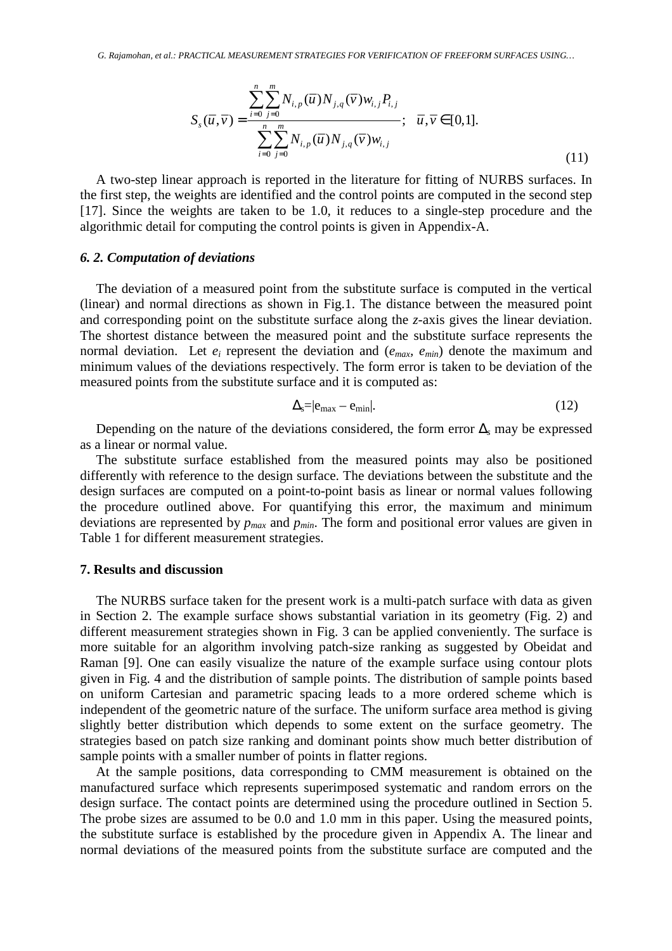$$
S_{s}(\overline{u}, \overline{v}) = \frac{\sum_{i=0}^{n} \sum_{j=0}^{m} N_{i,p}(\overline{u}) N_{j,q}(\overline{v}) w_{i,j} P_{i,j}}{\sum_{i=0}^{n} \sum_{j=0}^{m} N_{i,p}(\overline{u}) N_{j,q}(\overline{v}) w_{i,j}}; \quad \overline{u}, \overline{v} \in [0,1].
$$
\n(11)

A two-step linear approach is reported in the literature for fitting of NURBS surfaces. In the first step, the weights are identified and the control points are computed in the second step [17]. Since the weights are taken to be 1.0, it reduces to a single-step procedure and the algorithmic detail for computing the control points is given in Appendix-A.

#### *6. 2. Computation of deviations*

The deviation of a measured point from the substitute surface is computed in the vertical (linear) and normal directions as shown in Fig.1. The distance between the measured point and corresponding point on the substitute surface along the *z*-axis gives the linear deviation. The shortest distance between the measured point and the substitute surface represents the normal deviation. Let  $e_i$  represent the deviation and  $(e_{max}, e_{min})$  denote the maximum and minimum values of the deviations respectively. The form error is taken to be deviation of the measured points from the substitute surface and it is computed as:

$$
\Delta_{\rm s} = |e_{\rm max} - e_{\rm min}|. \tag{12}
$$

Depending on the nature of the deviations considered, the form error ∆*s* may be expressed as a linear or normal value.

The substitute surface established from the measured points may also be positioned differently with reference to the design surface. The deviations between the substitute and the design surfaces are computed on a point-to-point basis as linear or normal values following the procedure outlined above. For quantifying this error, the maximum and minimum deviations are represented by *pmax* and *pmin*. The form and positional error values are given in Table 1 for different measurement strategies.

#### **7. Results and discussion**

The NURBS surface taken for the present work is a multi-patch surface with data as given in Section 2. The example surface shows substantial variation in its geometry (Fig. 2) and different measurement strategies shown in Fig. 3 can be applied conveniently. The surface is more suitable for an algorithm involving patch-size ranking as suggested by Obeidat and Raman [9]. One can easily visualize the nature of the example surface using contour plots given in Fig. 4 and the distribution of sample points. The distribution of sample points based on uniform Cartesian and parametric spacing leads to a more ordered scheme which is independent of the geometric nature of the surface. The uniform surface area method is giving slightly better distribution which depends to some extent on the surface geometry. The strategies based on patch size ranking and dominant points show much better distribution of sample points with a smaller number of points in flatter regions.

At the sample positions, data corresponding to CMM measurement is obtained on the manufactured surface which represents superimposed systematic and random errors on the design surface. The contact points are determined using the procedure outlined in Section 5. The probe sizes are assumed to be 0.0 and 1.0 mm in this paper. Using the measured points, the substitute surface is established by the procedure given in Appendix A. The linear and normal deviations of the measured points from the substitute surface are computed and the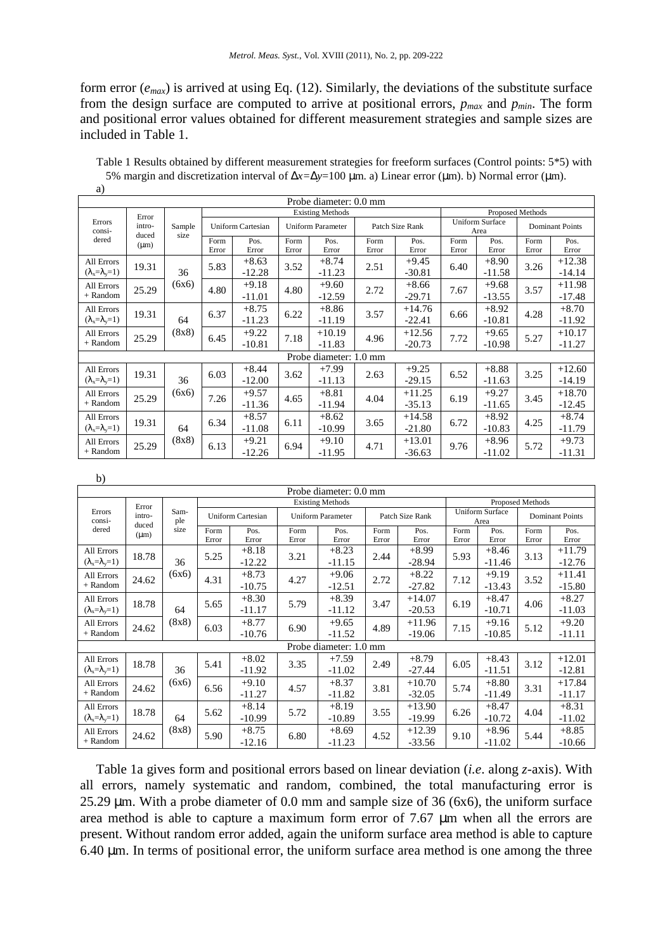form error (*emax*) is arrived at using Eq. (12). Similarly, the deviations of the substitute surface from the design surface are computed to arrive at positional errors, *pmax* and *pmin*. The form and positional error values obtained for different measurement strategies and sample sizes are included in Table 1.

| a)                                      |                                       |                |                          |                     |                          |                      |                 |                      |                                |                     |                        |                      |  |
|-----------------------------------------|---------------------------------------|----------------|--------------------------|---------------------|--------------------------|----------------------|-----------------|----------------------|--------------------------------|---------------------|------------------------|----------------------|--|
| Probe diameter: 0.0 mm                  |                                       |                |                          |                     |                          |                      |                 |                      |                                |                     |                        |                      |  |
|                                         | Error<br>intro-<br>duced<br>$(\mu m)$ | Sample<br>size | <b>Existing Methods</b>  |                     |                          |                      |                 |                      |                                | Proposed Methods    |                        |                      |  |
| Errors<br>consi-<br>dered               |                                       |                | <b>Uniform Cartesian</b> |                     | <b>Uniform Parameter</b> |                      | Patch Size Rank |                      | <b>Uniform Surface</b><br>Area |                     | <b>Dominant Points</b> |                      |  |
|                                         |                                       |                | Form<br>Error            | Pos.<br>Error       | Form<br>Error            | Pos.<br>Error        | Form<br>Error   | Pos.<br>Error        | Form<br>Error                  | Pos.<br>Error       | Form<br>Error          | Pos.<br>Error        |  |
| All Errors<br>$(\lambda_x=\lambda_y=1)$ | 19.31                                 | 36<br>(6x6)    | 5.83                     | $+8.63$<br>$-12.28$ | 3.52                     | $+8.74$<br>$-11.23$  | 2.51            | $+9.45$<br>$-30.81$  | 6.40                           | $+8.90$<br>$-11.58$ | 3.26                   | $+12.38$<br>$-14.14$ |  |
| All Errors<br>+ Random                  | 25.29                                 |                | 4.80                     | $+9.18$<br>$-11.01$ | 4.80                     | $+9.60$<br>$-12.59$  | 2.72            | $+8.66$<br>$-29.71$  | 7.67                           | $+9.68$<br>$-13.55$ | 3.57                   | $+11.98$<br>$-17.48$ |  |
| All Errors<br>$(\lambda_x=\lambda_y=1)$ | 19.31                                 | 64<br>(8x8)    | 6.37                     | $+8.75$<br>$-11.23$ | 6.22                     | $+8.86$<br>$-11.19$  | 3.57            | $+14.76$<br>$-22.41$ | 6.66                           | $+8.92$<br>$-10.81$ | 4.28                   | $+8.70$<br>$-11.92$  |  |
| All Errors<br>+ Random                  | 25.29                                 |                | 6.45                     | $+9.22$<br>$-10.81$ | 7.18                     | $+10.19$<br>$-11.83$ | 4.96            | $+12.56$<br>$-20.73$ | 7.72                           | $+9.65$<br>$-10.98$ | 5.27                   | $+10.17$<br>$-11.27$ |  |
| Probe diameter: 1.0 mm                  |                                       |                |                          |                     |                          |                      |                 |                      |                                |                     |                        |                      |  |
| All Errors<br>$(\lambda_x=\lambda_y=1)$ | 19.31                                 | 36<br>(6x6)    | 6.03                     | $+8.44$<br>$-12.00$ | 3.62                     | $+7.99$<br>$-11.13$  | 2.63            | $+9.25$<br>$-29.15$  | 6.52                           | $+8.88$<br>$-11.63$ | 3.25                   | $+12.60$<br>$-14.19$ |  |
| All Errors<br>+ Random                  | 25.29                                 |                | 7.26                     | $+9.57$<br>$-11.36$ | 4.65                     | $+8.81$<br>$-11.94$  | 4.04            | $+11.25$<br>$-35.13$ | 6.19                           | $+9.27$<br>$-11.65$ | 3.45                   | $+18.70$<br>$-12.45$ |  |
| All Errors<br>$(\lambda_x=\lambda_y=1)$ | 19.31                                 | 64<br>(8x8)    | 6.34                     | $+8.57$<br>$-11.08$ | 6.11                     | $+8.62$<br>$-10.99$  | 3.65            | $+14.58$<br>$-21.80$ | 6.72                           | $+8.92$<br>$-10.83$ | 4.25                   | $+8.74$<br>$-11.79$  |  |
| All Errors<br>+ Random                  | 25.29                                 |                | 6.13                     | $+9.21$<br>$-12.26$ | 6.94                     | $+9.10$<br>$-11.95$  | 4.71            | $+13.01$<br>$-36.63$ | 9.76                           | $+8.96$<br>$-11.02$ | 5.72                   | $+9.73$<br>$-11.31$  |  |

Table 1 Results obtained by different measurement strategies for freeform surfaces (Control points: 5\*5) with 5% margin and discretization interval of ∆*x=*∆*y*=100 µm. a) Linear error (µm). b) Normal error (µm).

| b)                                      |                                       |                     |                          |                     |                          |                     |                 |                      |                                |                     |                        |                      |  |
|-----------------------------------------|---------------------------------------|---------------------|--------------------------|---------------------|--------------------------|---------------------|-----------------|----------------------|--------------------------------|---------------------|------------------------|----------------------|--|
| Probe diameter: 0.0 mm                  |                                       |                     |                          |                     |                          |                     |                 |                      |                                |                     |                        |                      |  |
| Errors<br>consi-<br>dered               | Error<br>intro-<br>duced<br>$(\mu m)$ | Sam-<br>ple<br>size | <b>Existing Methods</b>  |                     |                          |                     |                 |                      |                                | Proposed Methods    |                        |                      |  |
|                                         |                                       |                     | <b>Uniform Cartesian</b> |                     | <b>Uniform Parameter</b> |                     | Patch Size Rank |                      | <b>Uniform Surface</b><br>Area |                     | <b>Dominant Points</b> |                      |  |
|                                         |                                       |                     | Form<br>Error            | Pos.<br>Error       | Form<br>Error            | Pos.<br>Error       | Form<br>Error   | Pos.<br>Error        | Form<br>Error                  | Pos.<br>Error       | Form<br>Error          | Pos.<br>Error        |  |
| All Errors<br>$(\lambda_x=\lambda_y=1)$ | 18.78                                 | 36<br>(6x6)         | 5.25                     | $+8.18$<br>$-12.22$ | 3.21                     | $+8.23$<br>$-11.15$ | 2.44            | $+8.99$<br>$-28.94$  | 5.93                           | $+8.46$<br>$-11.46$ | 3.13                   | $+11.79$<br>$-12.76$ |  |
| All Errors<br>$+$ Random                | 24.62                                 |                     | 4.31                     | $+8.73$<br>$-10.75$ | 4.27                     | $+9.06$<br>$-12.51$ | 2.72            | $+8.22$<br>$-27.82$  | 7.12                           | $+9.19$<br>$-13.43$ | 3.52                   | $+11.41$<br>$-15.80$ |  |
| All Errors<br>$(\lambda_x=\lambda_y=1)$ | 18.78                                 | 64<br>(8x8)         | 5.65                     | $+8.30$<br>$-11.17$ | 5.79                     | $+8.39$<br>$-11.12$ | 3.47            | $+14.07$<br>$-20.53$ | 6.19                           | $+8.47$<br>$-10.71$ | 4.06                   | $+8.27$<br>$-11.03$  |  |
| All Errors<br>+ Random                  | 24.62                                 |                     | 6.03                     | $+8.77$<br>$-10.76$ | 6.90                     | $+9.65$<br>$-11.52$ | 4.89            | $+11.96$<br>$-19.06$ | 7.15                           | $+9.16$<br>$-10.85$ | 5.12                   | $+9.20$<br>$-11.11$  |  |
| Probe diameter: 1.0 mm                  |                                       |                     |                          |                     |                          |                     |                 |                      |                                |                     |                        |                      |  |
| All Errors<br>$(\lambda_x=\lambda_y=1)$ | 18.78                                 | 36<br>(6x6)         | 5.41                     | $+8.02$<br>$-11.92$ | 3.35                     | $+7.59$<br>$-11.02$ | 2.49            | $+8.79$<br>$-27.44$  | 6.05                           | $+8.43$<br>$-11.51$ | 3.12                   | $+12.01$<br>$-12.81$ |  |
| All Errors<br>$+$ Random                | 24.62                                 |                     | 6.56                     | $+9.10$<br>$-11.27$ | 4.57                     | $+8.37$<br>$-11.82$ | 3.81            | $+10.70$<br>$-32.05$ | 5.74                           | $+8.80$<br>$-11.49$ | 3.31                   | $+17.84$<br>$-11.17$ |  |
| All Errors<br>$(\lambda_x=\lambda_y=1)$ | 18.78                                 | 64<br>(8x8)         | 5.62                     | $+8.14$<br>$-10.99$ | 5.72                     | $+8.19$<br>$-10.89$ | 3.55            | $+13.90$<br>$-19.99$ | 6.26                           | $+8.47$<br>$-10.72$ | 4.04                   | $+8.31$<br>$-11.02$  |  |
| All Errors<br>+ Random                  | 24.62                                 |                     | 5.90                     | $+8.75$<br>$-12.16$ | 6.80                     | $+8.69$<br>$-11.23$ | 4.52            | $+12.39$<br>$-33.56$ | 9.10                           | $+8.96$<br>$-11.02$ | 5.44                   | $+8.85$<br>$-10.66$  |  |

Table 1a gives form and positional errors based on linear deviation (*i.e*. along *z*-axis). With all errors, namely systematic and random, combined, the total manufacturing error is 25.29 µm. With a probe diameter of 0.0 mm and sample size of 36 (6x6), the uniform surface area method is able to capture a maximum form error of 7.67 µm when all the errors are present. Without random error added, again the uniform surface area method is able to capture 6.40 µm. In terms of positional error, the uniform surface area method is one among the three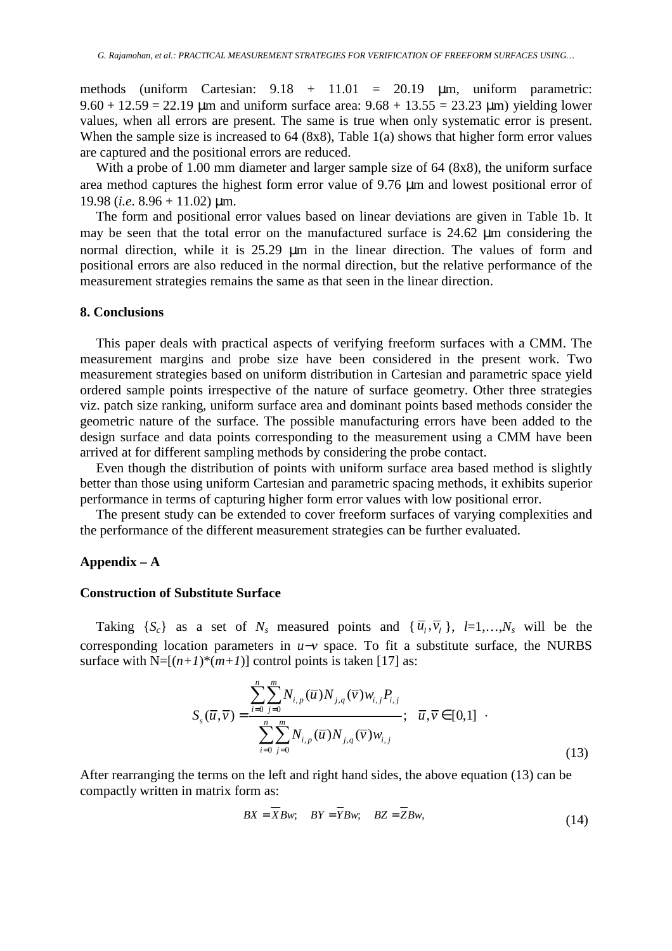methods (uniform Cartesian:  $9.18 + 11.01 = 20.19$   $\mu$ m, uniform parametric:  $9.60 + 12.59 = 22.19$  µm and uniform surface area:  $9.68 + 13.55 = 23.23$  µm) yielding lower values, when all errors are present. The same is true when only systematic error is present. When the sample size is increased to 64 (8x8), Table 1(a) shows that higher form error values are captured and the positional errors are reduced.

With a probe of 1.00 mm diameter and larger sample size of 64 (8x8), the uniform surface area method captures the highest form error value of 9.76 µm and lowest positional error of 19.98 (*i.e*. 8.96 + 11.02) µm.

The form and positional error values based on linear deviations are given in Table 1b. It may be seen that the total error on the manufactured surface is 24.62 µm considering the normal direction, while it is 25.29  $\mu$ m in the linear direction. The values of form and positional errors are also reduced in the normal direction, but the relative performance of the measurement strategies remains the same as that seen in the linear direction.

# **8. Conclusions**

This paper deals with practical aspects of verifying freeform surfaces with a CMM. The measurement margins and probe size have been considered in the present work. Two measurement strategies based on uniform distribution in Cartesian and parametric space yield ordered sample points irrespective of the nature of surface geometry. Other three strategies viz. patch size ranking, uniform surface area and dominant points based methods consider the geometric nature of the surface. The possible manufacturing errors have been added to the design surface and data points corresponding to the measurement using a CMM have been arrived at for different sampling methods by considering the probe contact.

Even though the distribution of points with uniform surface area based method is slightly better than those using uniform Cartesian and parametric spacing methods, it exhibits superior performance in terms of capturing higher form error values with low positional error.

The present study can be extended to cover freeform surfaces of varying complexities and the performance of the different measurement strategies can be further evaluated.

# **Appendix – A**

# **Construction of Substitute Surface**

Taking  $\{S_c\}$  as a set of  $N_s$  measured points and  $\{\overline{u}_l, \overline{v}_l\}$ ,  $l=1,\ldots,N_s$  will be the corresponding location parameters in *u*−*v* space. To fit a substitute surface, the NURBS surface with  $N=[(n+1)*(m+1)]$  control points is taken [17] as:

$$
S_{s}(\overline{u}, \overline{v}) = \frac{\sum_{i=0}^{n} \sum_{j=0}^{m} N_{i, p}(\overline{u}) N_{j, q}(\overline{v}) w_{i, j} P_{i, j}}{\sum_{i=0}^{n} \sum_{j=0}^{m} N_{i, p}(\overline{u}) N_{j, q}(\overline{v}) w_{i, j}}; \quad \overline{u}, \overline{v} \in [0, 1] \quad .
$$
\n(13)

After rearranging the terms on the left and right hand sides, the above equation (13) can be compactly written in matrix form as:

$$
BX = XBw; \quad BY = YBw; \quad BZ = ZBw,
$$
\n
$$
(14)
$$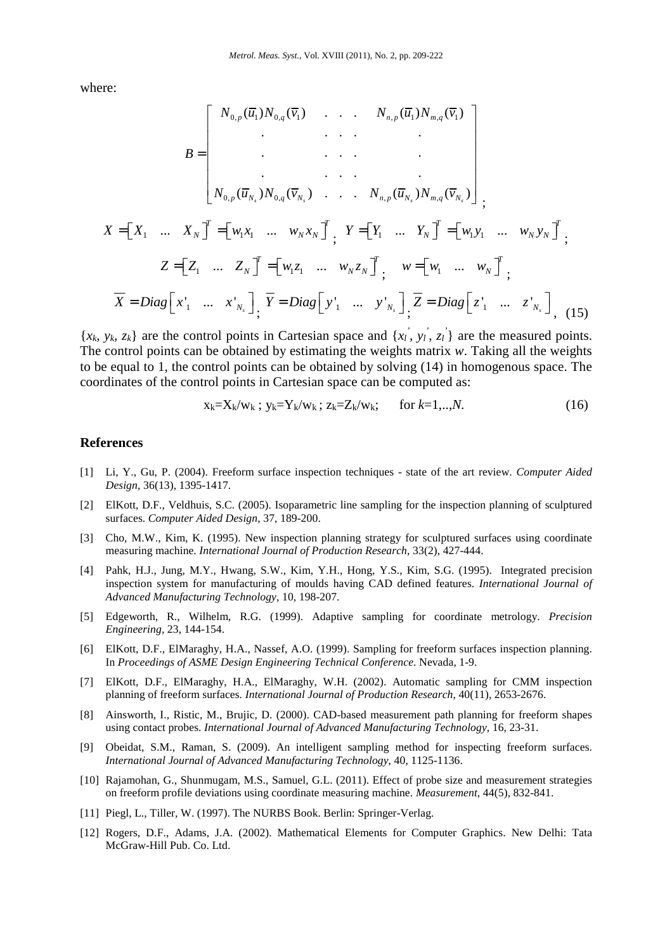where:

$$
B = \begin{bmatrix} N_{0,p}(\overline{u}_1)N_{0,q}(\overline{v}_1) & \cdots & N_{n,p}(\overline{u}_1)N_{m,q}(\overline{v}_1) \\ \vdots & \vdots & \ddots & \vdots \\ N_{0,p}(\overline{u}_{N_s})N_{0,q}(\overline{v}_{N_s}) & \cdots & N_{n,p}(\overline{u}_{N_s})N_{m,q}(\overline{v}_{N_s}) \end{bmatrix},
$$
  
\n
$$
X = \begin{bmatrix} X_1 & \cdots & X_N \end{bmatrix}^T = \begin{bmatrix} w_1x_1 & \cdots & w_Nx_N \end{bmatrix}^T, \quad Y = \begin{bmatrix} Y_1 & \cdots & Y_N \end{bmatrix}^T = \begin{bmatrix} w_1y_1 & \cdots & w_Ny_N \end{bmatrix}^T,
$$
  
\n
$$
Z = \begin{bmatrix} Z_1 & \cdots & Z_N \end{bmatrix}^T = \begin{bmatrix} w_1z_1 & \cdots & w_Nz_N \end{bmatrix}^T, \quad w = \begin{bmatrix} w_1 & \cdots & w_N \end{bmatrix}^T,
$$
  
\n
$$
\overline{X} = Diag \begin{bmatrix} x_1' & \cdots & x_{N_s} \end{bmatrix}^T, \quad \overline{Y} = Diag \begin{bmatrix} y_1' & \cdots & y_{N_s} \end{bmatrix}^T, \quad \overline{Z} = Diag \begin{bmatrix} z_1' & \cdots & z_{N_s} \end{bmatrix}^T, \quad (15)
$$

 $\{x_k, y_k, z_k\}$  are the control points in Cartesian space and  $\{x_l, y_l, z_l\}$  are the measured points. The control points can be obtained by estimating the weights matrix *w*. Taking all the weights to be equal to 1, the control points can be obtained by solving (14) in homogenous space. The coordinates of the control points in Cartesian space can be computed as:

$$
x_k = X_k / w_k ; y_k = Y_k / w_k ; z_k = Z_k / w_k ; \quad \text{for } k = 1, ..., N. \tag{16}
$$

#### **References**

- [1] Li, Y., Gu, P. (2004). Freeform surface inspection techniques state of the art review. *Computer Aided Design*, 36(13), 1395-1417.
- [2] ElKott, D.F., Veldhuis, S.C. (2005). Isoparametric line sampling for the inspection planning of sculptured surfaces. *Computer Aided Design*, 37, 189-200.
- [3] Cho, M.W., Kim, K. (1995). New inspection planning strategy for sculptured surfaces using coordinate measuring machine. *International Journal of Production Research*, 33(2), 427-444.
- [4] Pahk, H.J., Jung, M.Y., Hwang, S.W., Kim, Y.H., Hong, Y.S., Kim, S.G. (1995). Integrated precision inspection system for manufacturing of moulds having CAD defined features. *International Journal of Advanced Manufacturing Technology*, 10, 198-207.
- [5] Edgeworth, R., Wilhelm, R.G. (1999). Adaptive sampling for coordinate metrology. *Precision Engineering*, 23, 144-154.
- [6] ElKott, D.F., ElMaraghy, H.A., Nassef, A.O. (1999). Sampling for freeform surfaces inspection planning. In *Proceedings of ASME Design Engineering Technical Conference*. Nevada, 1-9.
- [7] ElKott, D.F., ElMaraghy, H.A., ElMaraghy, W.H. (2002). Automatic sampling for CMM inspection planning of freeform surfaces. *International Journal of Production Research*, 40(11), 2653-2676.
- [8] Ainsworth, I., Ristic, M., Brujic, D. (2000). CAD-based measurement path planning for freeform shapes using contact probes. *International Journal of Advanced Manufacturing Technology*, 16, 23-31.
- [9] Obeidat, S.M., Raman, S. (2009). An intelligent sampling method for inspecting freeform surfaces. *International Journal of Advanced Manufacturing Technology*, 40, 1125-1136.
- [10] Rajamohan, G., Shunmugam, M.S., Samuel, G.L. (2011). Effect of probe size and measurement strategies on freeform profile deviations using coordinate measuring machine. *Measurement*, 44(5), 832-841.
- [11] Piegl, L., Tiller, W. (1997). The NURBS Book. Berlin: Springer-Verlag.
- [12] Rogers, D.F., Adams, J.A. (2002). Mathematical Elements for Computer Graphics. New Delhi: Tata McGraw-Hill Pub. Co. Ltd.